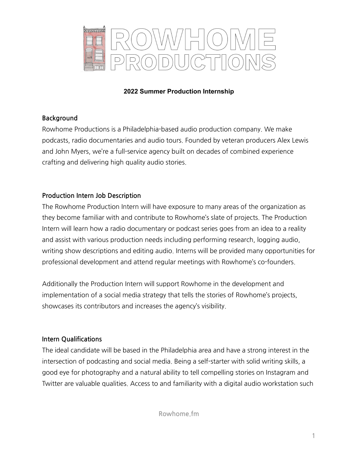

### **2022 Summer Production Internship**

# **Background**

Rowhome Productions is a Philadelphia-based audio production company. We make podcasts, radio documentaries and audio tours. Founded by veteran producers Alex Lewis and John Myers, we're a full-service agency built on decades of combined experience crafting and delivering high quality audio stories.

# **Production Intern Job Description**

The Rowhome Production Intern will have exposure to many areas of the organization as they become familiar with and contribute to Rowhome's slate of projects. The Production Intern will learn how a radio documentary or podcast series goes from an idea to a reality and assist with various production needs including performing research, logging audio, writing show descriptions and editing audio. Interns will be provided many opportunities for professional development and attend regular meetings with Rowhome's co-founders.

Additionally the Production Intern will support Rowhome in the development and implementation of a social media strategy that tells the stories of Rowhome's projects, showcases its contributors and increases the agency's visibility.

# **Intern Qualifications**

The ideal candidate will be based in the Philadelphia area and have a strong interest in the intersection of podcasting and social media. Being a self-starter with solid writing skills, a good eye for photography and a natural ability to tell compelling stories on Instagram and Twitter are valuable qualities. Access to and familiarity with a digital audio workstation such

**Rowhome.fm**